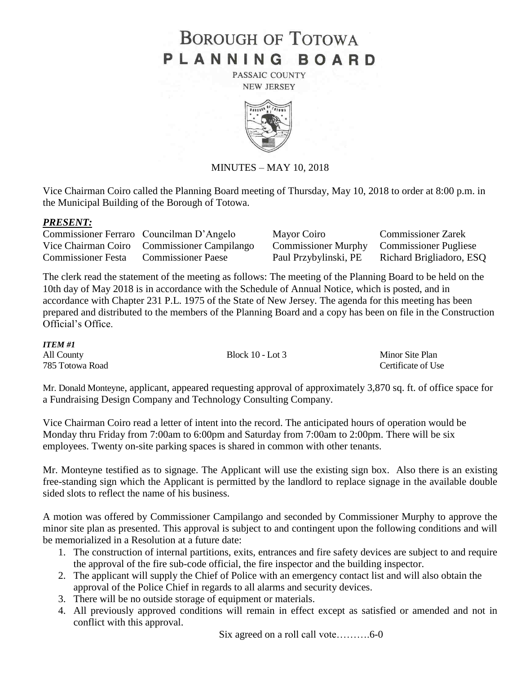## **BOROUGH OF TOTOWA** PLANNING BOARD

PASSAIC COUNTY **NEW JERSEY** 



## MINUTES – MAY 10, 2018

Vice Chairman Coiro called the Planning Board meeting of Thursday, May 10, 2018 to order at 8:00 p.m. in the Municipal Building of the Borough of Totowa.

## *PRESENT:*

|                    | Commissioner Ferraro Councilman D'Angelo    | Mayor Coiro                               | <b>Commissioner Zarek</b> |
|--------------------|---------------------------------------------|-------------------------------------------|---------------------------|
|                    | Vice Chairman Coiro Commissioner Campilango | Commissioner Murphy Commissioner Pugliese |                           |
| Commissioner Festa | <b>Commissioner Paese</b>                   | Paul Przybylinski, PE                     | Richard Brigliadoro, ESQ  |

The clerk read the statement of the meeting as follows: The meeting of the Planning Board to be held on the 10th day of May 2018 is in accordance with the Schedule of Annual Notice, which is posted, and in accordance with Chapter 231 P.L. 1975 of the State of New Jersey. The agenda for this meeting has been prepared and distributed to the members of the Planning Board and a copy has been on file in the Construction Official's Office.

| <b>ITEM#1</b>   |                    |                    |
|-----------------|--------------------|--------------------|
| All County      | Block $10 -$ Lot 3 | Minor Site Plan    |
| 785 Totowa Road |                    | Certificate of Use |

Mr. Donald Monteyne, applicant, appeared requesting approval of approximately 3,870 sq. ft. of office space for a Fundraising Design Company and Technology Consulting Company.

Vice Chairman Coiro read a letter of intent into the record. The anticipated hours of operation would be Monday thru Friday from 7:00am to 6:00pm and Saturday from 7:00am to 2:00pm. There will be six employees. Twenty on-site parking spaces is shared in common with other tenants.

Mr. Monteyne testified as to signage. The Applicant will use the existing sign box. Also there is an existing free-standing sign which the Applicant is permitted by the landlord to replace signage in the available double sided slots to reflect the name of his business.

A motion was offered by Commissioner Campilango and seconded by Commissioner Murphy to approve the minor site plan as presented. This approval is subject to and contingent upon the following conditions and will be memorialized in a Resolution at a future date:

- 1. The construction of internal partitions, exits, entrances and fire safety devices are subject to and require the approval of the fire sub-code official, the fire inspector and the building inspector.
- 2. The applicant will supply the Chief of Police with an emergency contact list and will also obtain the approval of the Police Chief in regards to all alarms and security devices.
- 3. There will be no outside storage of equipment or materials.
- 4. All previously approved conditions will remain in effect except as satisfied or amended and not in conflict with this approval.

Six agreed on a roll call vote……….6-0